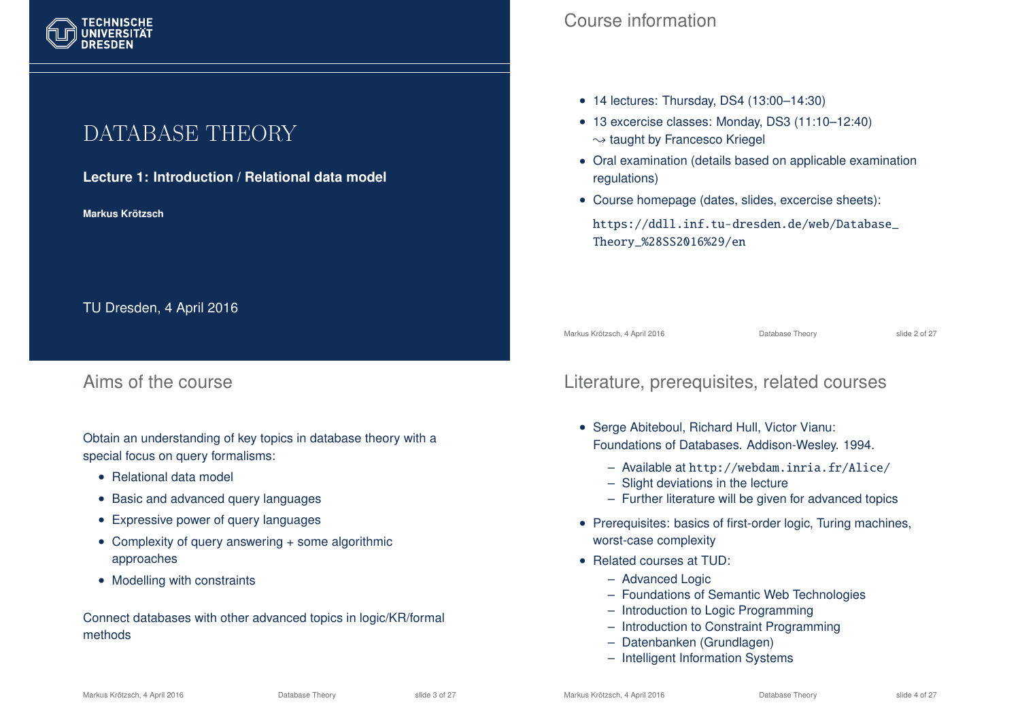# DATABASE THEORY

#### **Lecture 1: Introduction / Relational data model**

**Markus Krotzsch ¨**

TU Dresden, 4 April 2016

## Aims of the course

Obtain an understanding of key topics in database theory with a special focus on query formalisms:

- Relational data model
- Basic and advanced query languages
- Expressive power of query languages
- Complexity of query answering + some algorithmic approaches
- Modelling with constraints

Connect databases with other advanced topics in logic/KR/formal methods

## Course information

- 14 lectures: Thursday, DS4 (13:00-14:30)
- 13 excercise classes: Monday, DS3 (11:10–12:40)  $\rightarrow$  taught by Francesco Kriegel
- Oral examination (details based on applicable examination regulations)
- Course homepage (dates, slides, excercise sheets):

https://ddll.inf.tu-dresden.de/web/Database\_ Theory\_%28SS2016%29/en

Markus Krötzsch, 4 April 2016 Database Theory slide 2 of 27

## Literature, prerequisites, related courses

- Serge Abiteboul, Richard Hull, Victor Vianu: Foundations of Databases. Addison-Wesley. 1994.
	- Available at http://webdam.inria.fr/Alice/
	- Slight deviations in the lecture
	- Further literature will be given for advanced topics
- Prerequisites: basics of first-order logic, Turing machines, worst-case complexity
- Related courses at TUD:
	- Advanced Logic
	- Foundations of Semantic Web Technologies
	- Introduction to Logic Programming
	- Introduction to Constraint Programming
	- Datenbanken (Grundlagen)
	- Intelligent Information Systems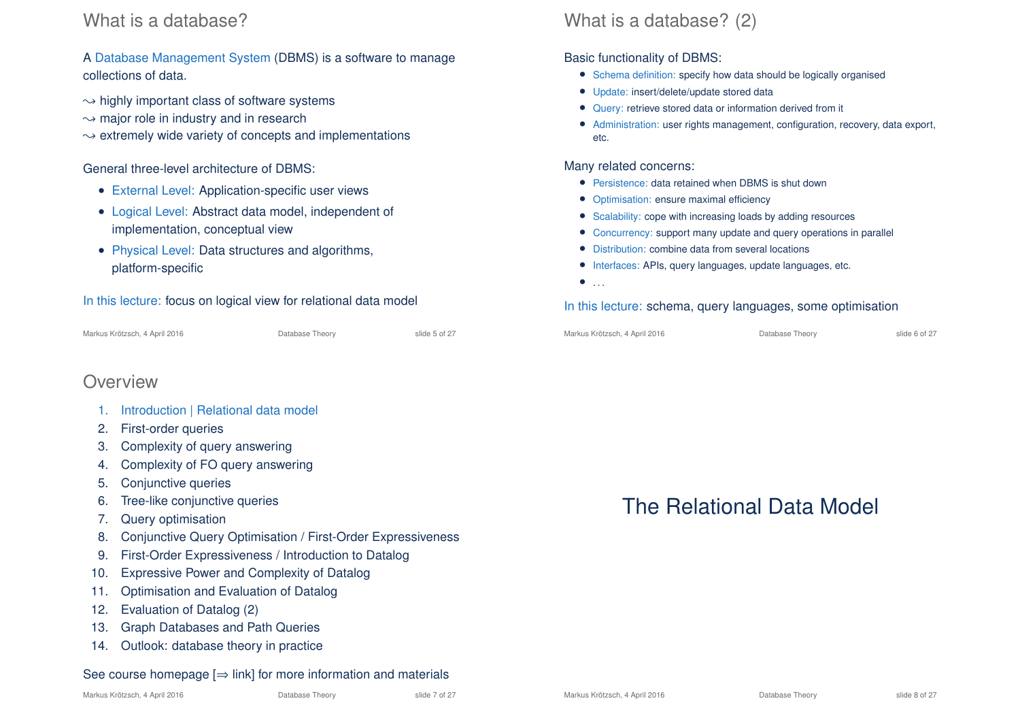## What is a database?

#### A Database Management System (DBMS) is a software to manage collections of data.

- $\rightarrow$  highly important class of software systems
- $\rightarrow$  major role in industry and in research
- $\rightarrow$  extremely wide variety of concepts and implementations

#### General three-level architecture of DBMS:

- External Level: Application-specific user views
- Logical Level: Abstract data model, independent of implementation, conceptual view
- Physical Level: Data structures and algorithms, platform-specific

#### In this lecture: focus on logical view for relational data model

## **Overview**

- 1. Introduction | Relational data model
- 2. First-order queries
- 3. Complexity of query answering
- 4. Complexity of FO query answering
- 5. Conjunctive queries
- 6. Tree-like conjunctive queries
- 7. Query optimisation
- 8. Conjunctive Query Optimisation / First-Order Expressiveness
- 9. First-Order Expressiveness / Introduction to Datalog
- 10. Expressive Power and Complexity of Datalog
- 11. Optimisation and Evaluation of Datalog
- 12. Evaluation of Datalog (2)
- 13. Graph Databases and Path Queries
- 14. Outlook: database theory in practice

#### See course homepage  $[\Rightarrow]$  link] for more information and materials

## What is a database? (2)

#### Basic functionality of DBMS:

- Schema definition: specify how data should be logically organised
- Update: insert/delete/update stored data
- Query: retrieve stored data or information derived from it
- Administration: user rights management, configuration, recovery, data export, etc.

#### Many related concerns:

- Persistence: data retained when DBMS is shut down
- Optimisation: ensure maximal efficiency
- Scalability: cope with increasing loads by adding resources
- Concurrency: support many update and query operations in parallel
- Distribution: combine data from several locations
- Interfaces: APIs, query languages, update languages, etc.
- $\bullet$  . . .

#### In this lecture: schema, query languages, some optimisation

| Markus Krötzsch, 4 April 2016 |  |  |
|-------------------------------|--|--|
|                               |  |  |

Database Theory slide 6 of 27

# The Relational Data Model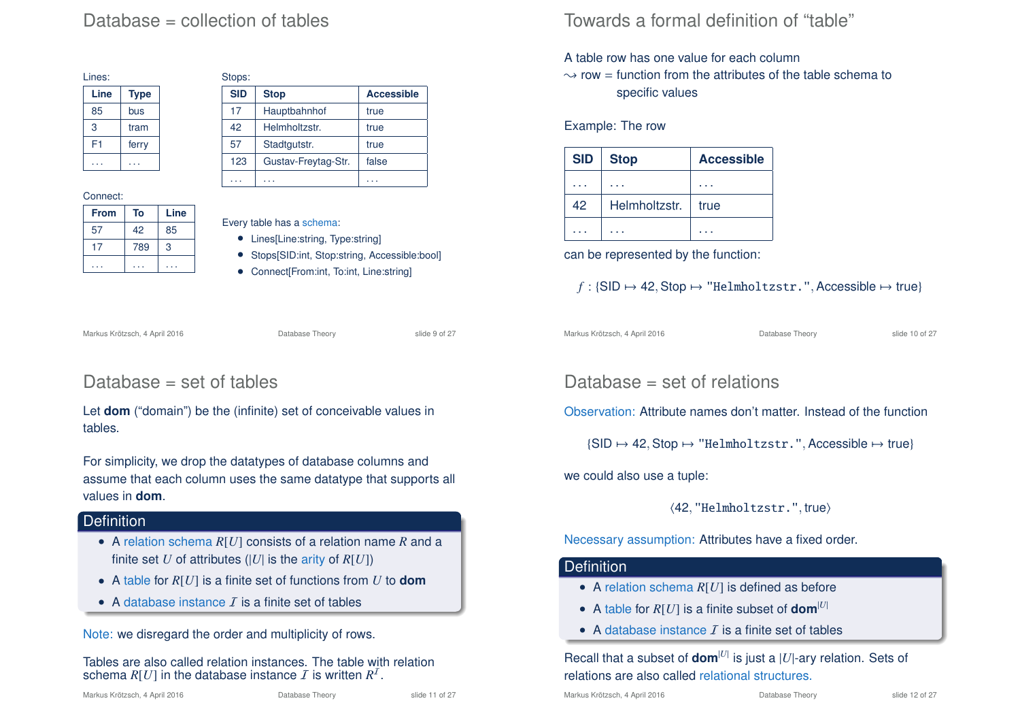## Database = collection of tables

| Lines: |             |
|--------|-------------|
| Line   | <b>Type</b> |
| 85     | bus         |
| 3      | tram        |
| F1     | ferry       |
|        |             |

#### Connect:

| <b>From</b> | To  | Line |
|-------------|-----|------|
| 57          | 42  | 85   |
|             | 789 | 3    |
|             |     |      |

| Stops:     |                     |                   |
|------------|---------------------|-------------------|
| <b>SID</b> | <b>Stop</b>         | <b>Accessible</b> |
| 17         | Hauptbahnhof        | true              |
| 42         | Helmholtzstr.       | true              |
| 57         | Stadtgutstr.        | true              |
| 123        | Gustav-Freytag-Str. | false             |
|            |                     |                   |

- Every table has a schema:
	- Lines[Line:string, Type:string]
	- Stops[SID:int, Stop:string, Accessible:bool]
	- Connect[From:int, To:int, Line:string]

Markus Krötzsch, 4 April 2016 Database Theory slide 9 of 27

## Database = set of tables

Let **dom** ("domain") be the (infinite) set of conceivable values in tables.

For simplicity, we drop the datatypes of database columns and assume that each column uses the same datatype that supports all values in **dom**.

#### Definition

- A relation schema *R*[*U*] consists of a relation name *R* and a finite set *U* of attributes ( $|U|$  is the arity of  $R[U]$ )
- A table for *R*[*U*] is a finite set of functions from *U* to **dom**
- A database instance  $\bar{I}$  is a finite set of tables

Note: we disregard the order and multiplicity of rows.

Tables are also called relation instances. The table with relation schema  $R[U]$  in the database instance  $I$  is written  $R^I$ .

## Towards a formal definition of "table"

A table row has one value for each column

 $\sim$  row = function from the attributes of the table schema to specific values

#### Example: The row

| <b>SID</b> | <b>Stop</b>   | <b>Accessible</b> |
|------------|---------------|-------------------|
|            |               |                   |
| 42         | Helmholtzstr. | true              |
|            |               |                   |

can be represented by the function:

### $f : \{\text{SID} \mapsto 42, \text{Stop} \mapsto \text{"Helmholtzstr."}, \text{Accessible} \mapsto \text{true}\}$

Markus Krötzsch, 4 April 2016 **Database Theory** Slide 10 of 27

Database = set of relations

Observation: Attribute names don't matter. Instead of the function

 $\{SID \mapsto 42, Stop \mapsto "Helmholtzstr."$ , Accessible  $\mapsto$  true}

we could also use a tuple:

 $\langle 42, "Helmholtzstr."$ , true)

#### Necessary assumption: Attributes have a fixed order.

#### **Definition**

- A relation schema *R*[*U*] is defined as before
- A table for  $R[U]$  is a finite subset of **dom**<sup>[U]</sup>
- A database instance  $I$  is a finite set of tables

#### Recall that a subset of **dom**<sup>[*U*|</sup> is just a |*U*|-ary relation. Sets of relations are also called relational structures.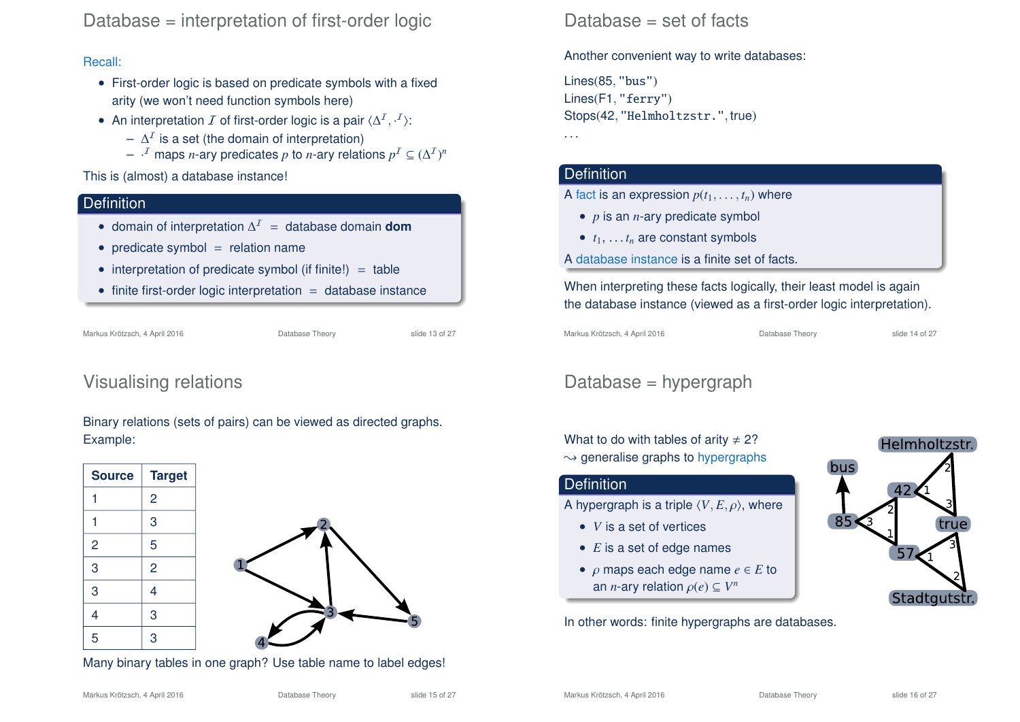## Database = interpretation of first-order logic

#### Recall:

- First-order logic is based on predicate symbols with a fixed arity (we won't need function symbols here)
- An interpretation  $I$  of first-order logic is a pair  $\langle \Delta^I, \cdot^I \rangle$ :
	- $\Delta^{\prime}$  is a set (the domain of interpretation)
	- $\cdot$ <sup>*I*</sup> maps *n*-ary predicates *p* to *n*-ary relations  $p^I \subseteq (\Delta^I)^n$

This is (almost) a database instance!

#### **Definition**

- domain of interpretation ∆ <sup>I</sup> = database domain **dom**
- predicate symbol  $=$  relation name
- interpretation of predicate symbol (if finite!)  $=$  table
- finite first-order logic interpretation  $=$  database instance

Markus Krötzsch, 4 April 2016 **Database Theory** Slide 13 of 27

## Visualising relations

Binary relations (sets of pairs) can be viewed as directed graphs. Example:

**Source Target**  $1 \quad |2$ 1 3 2 5  $3 \mid 2$ 3 4 4 3 5 3



Many binary tables in one graph? Use table name to label edges!

#### Another convenient way to write databases:

Lines(85, "bus") Lines(F1, "ferry") Stops(42, "Helmholtzstr.", true)

## . . .

#### **Definition**

A fact is an expression  $p(t_1, \ldots, t_n)$  where

- *p* is an *n*-ary predicate symbol
- $\bullet$   $t_1, \ldots, t_n$  are constant symbols
- A database instance is a finite set of facts.

When interpreting these facts logically, their least model is again the database instance (viewed as a first-order logic interpretation).

Markus Krötzsch, 4 April 2016 **Database Theory** Slide 14 of 27

## Database = hypergraph

What to do with tables of arity  $\neq$  2?

 $\rightarrow$  generalise graphs to hypergraphs

#### **Definition**

A hypergraph is a triple  $\langle V, E, \rho \rangle$ , where

- *V* is a set of vertices
- *E* is a set of edge names
- ρ maps each edge name *e* ∈ *E* to an *n*-ary relation  $\rho(e) \subseteq V^n$

In other words: finite hypergraphs are databases.

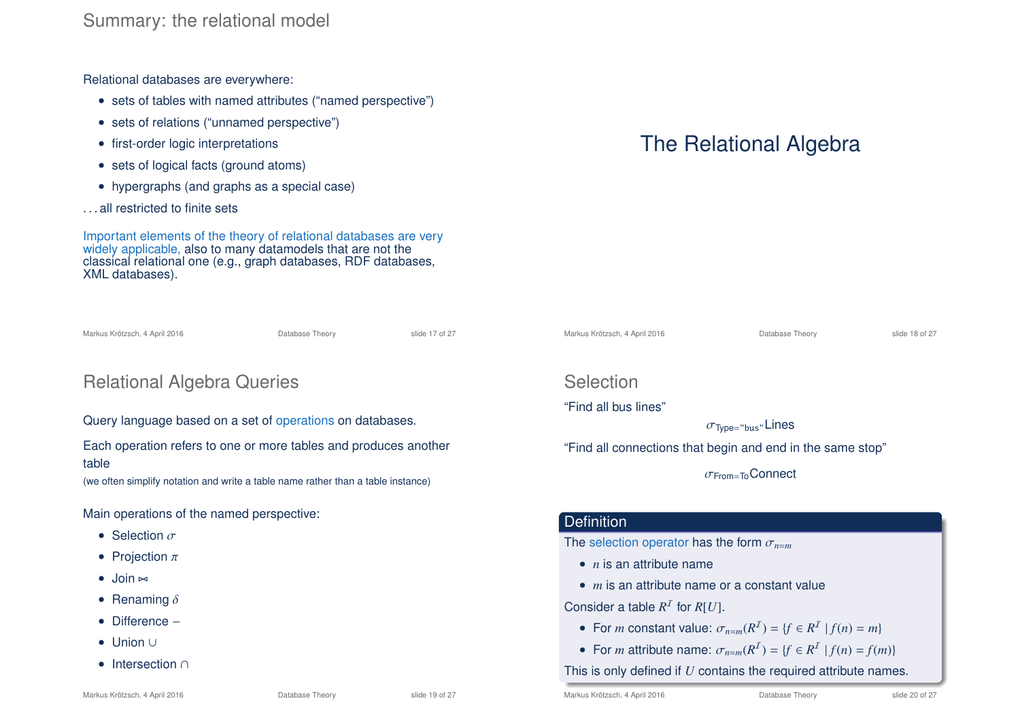Relational databases are everywhere:

- sets of tables with named attributes ("named perspective")
- sets of relations ("unnamed perspective")
- first-order logic interpretations
- sets of logical facts (ground atoms)
- hypergraphs (and graphs as a special case)
- ...all restricted to finite sets

Important elements of the theory of relational databases are very widely applicable, also to many datamodels that are not the classical relational one (e.g., graph databases, RDF databases, XML databases).

Markus Krötzsch, 4 April 2016 **Database Theory** Slide 17 of 27

# Relational Algebra Queries

Query language based on a set of operations on databases.

Each operation refers to one or more tables and produces another table

(we often simplify notation and write a table name rather than a table instance)

Main operations of the named perspective:

- Selection  $\sigma$
- Projection  $\pi$
- $\bullet$  Join  $\bowtie$
- Renaming  $\delta$
- Difference −
- Union ∪
- Intersection ∩

# The Relational Algebra

Markus Krötzsch, 4 April 2016 **Database Theory** Slide 18 of 27

Selection

"Find all bus lines"

 $\sigma$ <sub>Type="bus"</sub>Lines

"Find all connections that begin and end in the same stop"

 $σ<sub>From=To</sub> Connect$ 

#### **Definition**

The selection operator has the form  $\sigma_{n=m}$ 

- *n* is an attribute name
- *m* is an attribute name or a constant value

Consider a table  $R^I$  for  $R[U]$ .

- For *m* constant value:  $\sigma_{n=m}(R^I) = \{f \in R^I \mid f(n) = m\}$
- For *m* attribute name:  $\sigma_{n=m}(R^I) = \{f \in R^I \mid f(n) = f(m)\}$

This is only defined if *U* contains the required attribute names.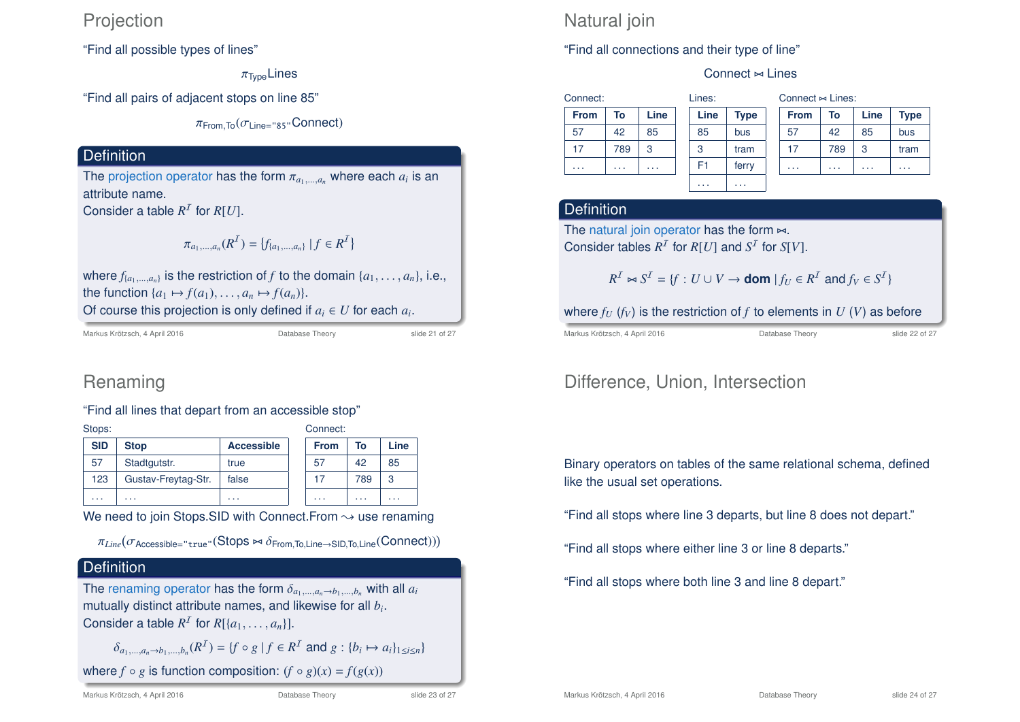## **Projection**

"Find all possible types of lines"

 $\pi_{\text{Two}}$ Lines

"Find all pairs of adjacent stops on line 85"

 $\pi$ <sub>From, To</sub> $(\sigma)$ <sub>ine="85"</sub>Connect)

### **Definition**

The projection operator has the form  $\pi_{a_1,\dots,a_n}$  where each  $a_i$  is an attribute name.

Consider a table  $R^1$  for  $R[U]$ .

$$
\pi_{a_1,\dots,a_n}(R^{\mathcal{I}}) = \{f_{\{a_1,\dots,a_n\}} \mid f \in R^{\mathcal{I}}\}
$$

where  $f_{\{a_1,\ldots,a_n\}}$  is the restriction of  $f$  to the domain  $\{a_1,\ldots,a_n\}$ , i.e., the function  $\{a_1 \mapsto f(a_1), \ldots, a_n \mapsto f(a_n)\}.$ Of course this projection is only defined if  $a_i \in U$  for each  $a_i$ .

Markus Krötzsch, 4 April 2016 **Database Theory** Slide 21 of 27

## Renaming

#### "Find all lines that depart from an accessible stop"

| Stops:<br>Connect: |                     |                   |             |          |      |
|--------------------|---------------------|-------------------|-------------|----------|------|
| <b>SID</b>         | <b>Stop</b>         | <b>Accessible</b> | <b>From</b> | To       | Line |
| 57                 | Stadtgutstr.        | true              | 57          | 42       | 85   |
| 123                | Gustav-Freytag-Str. | false             | 17          | 789      | 3    |
| .                  | .                   | $\cdots$          | $\cdots$    | $\cdots$ | .    |

We need to join Stops.SID with Connect. From  $\rightsquigarrow$  use renaming

 $\pi_{Line}(\sigma_{\rm Accessible='true}$ "( $\rm{Stops} \Join \delta_{From,To,Line \rightarrow SID,To,Line}(Connect)) )$ 

## **Definition**

The renaming operator has the form  $\delta_{a_1,\dots,a_n\to b_1,\dots,b_n}$  with all  $a_i$ mutually distinct attribute names, and likewise for all *b<sup>i</sup>* . Consider a table  $R^I$  for  $R[\{a_1, \ldots, a_n\}].$ 

 $\delta_{a_1,...,a_n \to b_1,...,b_n}(R^1) = \{f \circ g \mid f \in R^1 \text{ and } g : \{b_i \mapsto a_i\}_{1 \le i \le n}\}$ 

where  $f \circ g$  is function composition:  $(f \circ g)(x) = f(g(x))$ 

## Natural join

#### "Find all connections and their type of line"

#### Connect  $\approx$  Lines

| Connect:    |     |      | Lines: |                |             |
|-------------|-----|------|--------|----------------|-------------|
| <b>From</b> | To  | Line |        | Line           | <b>Type</b> |
| 57          | 42  | 85   |        | 85             | bus         |
| 17          | 789 | 3    |        | 3              | tram        |
|             |     |      |        | F <sub>1</sub> | ferry       |
|             |     |      |        |                |             |

| Connect $\approx$ Lines: |      |             |  |  |
|--------------------------|------|-------------|--|--|
| To                       | Line | <b>Type</b> |  |  |
| 42                       | 85   | bus         |  |  |
| 789                      | 3    | tram        |  |  |
|                          |      |             |  |  |
|                          |      |             |  |  |

#### Definition

The natural join operator has the form  $\bowtie$ . Consider tables  $R^I$  for  $R[U]$  and  $S^I$  for  $S[V]$ .

$$
R^{\mathcal{I}} \bowtie S^{\mathcal{I}} = \{ f : U \cup V \to \text{dom} \mid f_U \in R^{\mathcal{I}} \text{ and } f_V \in S^{\mathcal{I}} \}
$$

. . . . . .

where  $f_U$  ( $f_V$ ) is the restriction of  $f$  to elements in  $U$  ( $V$ ) as before

Markus Krötzsch, 4 April 2016 **Database Theory** Slide 22 of 27

## Difference, Union, Intersection

Binary operators on tables of the same relational schema, defined like the usual set operations.

"Find all stops where line 3 departs, but line 8 does not depart."

"Find all stops where either line 3 or line 8 departs."

"Find all stops where both line 3 and line 8 depart."